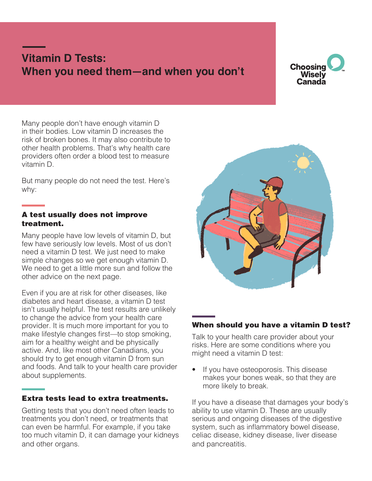# **Vitamin D Tests: When you need them—and when you don't**



Many people don't have enough vitamin D in their bodies. Low vitamin D increases the risk of broken bones. It may also contribute to other health problems. That's why health care providers often order a blood test to measure vitamin D.

But many people do not need the test. Here's why:

#### A test usually does not improve treatment.

Many people have low levels of vitamin D, but few have seriously low levels. Most of us don't need a vitamin D test. We just need to make simple changes so we get enough vitamin D. We need to get a little more sun and follow the other advice on the next page.

Even if you are at risk for other diseases, like diabetes and heart disease, a vitamin D test isn't usually helpful. The test results are unlikely to change the advice from your health care provider. It is much more important for you to make lifestyle changes first—to stop smoking, aim for a healthy weight and be physically active. And, like most other Canadians, you should try to get enough vitamin D from sun and foods. And talk to your health care provider about supplements.

## Extra tests lead to extra treatments.

Getting tests that you don't need often leads to treatments you don't need, or treatments that can even be harmful. For example, if you take too much vitamin D, it can damage your kidneys and other organs.



#### When should you have a vitamin D test?

Talk to your health care provider about your risks. Here are some conditions where you might need a vitamin D test:

If you have osteoporosis. This disease makes your bones weak, so that they are more likely to break.

If you have a disease that damages your body's ability to use vitamin D. These are usually serious and ongoing diseases of the digestive system, such as inflammatory bowel disease, celiac disease, kidney disease, liver disease and pancreatitis.